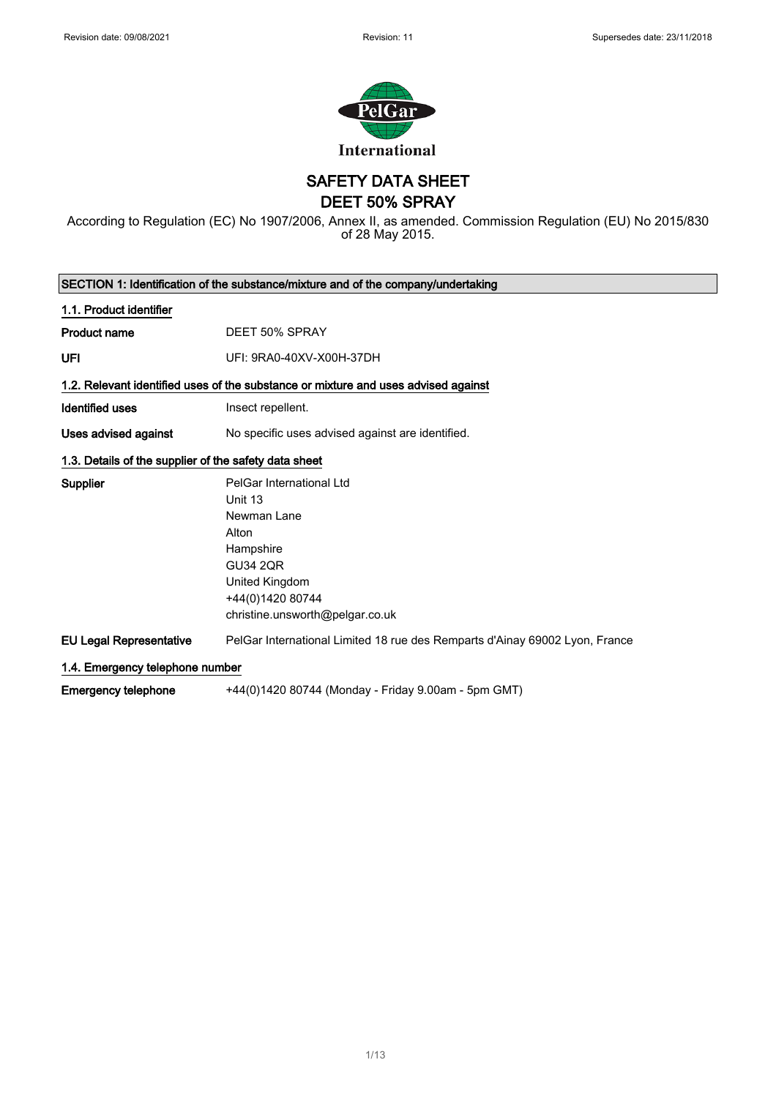

SAFETY DATA SHEET

DEET 50% SPRAY

According to Regulation (EC) No 1907/2006, Annex II, as amended. Commission Regulation (EU) No 2015/830 of 28 May 2015.

| SECTION 1: Identification of the substance/mixture and of the company/undertaking |                                                                                                                                                                      |  |
|-----------------------------------------------------------------------------------|----------------------------------------------------------------------------------------------------------------------------------------------------------------------|--|
| 1.1. Product identifier                                                           |                                                                                                                                                                      |  |
| <b>Product name</b>                                                               | DEET 50% SPRAY                                                                                                                                                       |  |
| UFI                                                                               | UFI: 9RA0-40XV-X00H-37DH                                                                                                                                             |  |
|                                                                                   | 1.2. Relevant identified uses of the substance or mixture and uses advised against                                                                                   |  |
| <b>Identified uses</b>                                                            | Insect repellent.                                                                                                                                                    |  |
| Uses advised against                                                              | No specific uses advised against are identified.                                                                                                                     |  |
| 1.3. Details of the supplier of the safety data sheet                             |                                                                                                                                                                      |  |
| Supplier                                                                          | PelGar International Ltd<br>Unit 13<br>Newman Lane<br>Alton<br>Hampshire<br><b>GU34 2QR</b><br>United Kingdom<br>+44(0)1420 80744<br>christine.unsworth@pelgar.co.uk |  |
| <b>EU Legal Representative</b>                                                    | PelGar International Limited 18 rue des Remparts d'Ainay 69002 Lyon, France                                                                                          |  |
| 1.4. Emergency telephone number                                                   |                                                                                                                                                                      |  |
| <b>Emergency telephone</b>                                                        | +44(0)1420 80744 (Monday - Friday 9.00am - 5pm GMT)                                                                                                                  |  |

1/ 13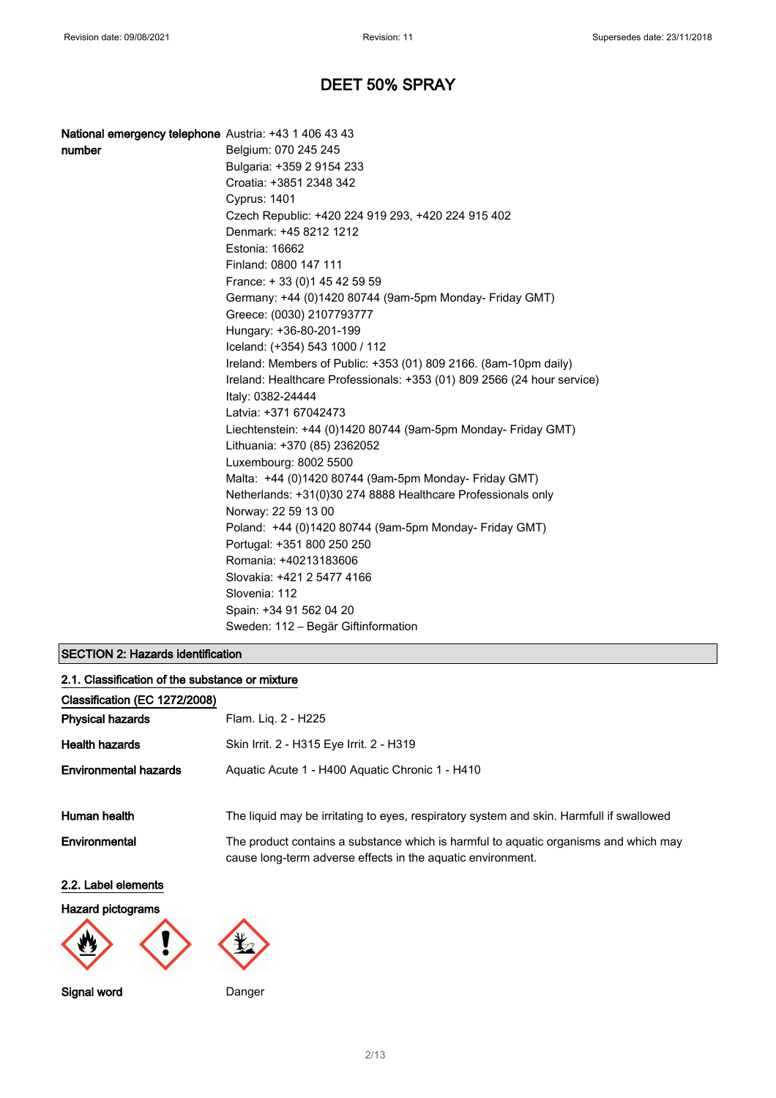| National emergency telephone Austria: +43 1 406 43 43 |                                                                         |
|-------------------------------------------------------|-------------------------------------------------------------------------|
| number                                                | Belgium: 070 245 245                                                    |
|                                                       | Bulgaria: +359 2 9154 233                                               |
|                                                       | Croatia: +3851 2348 342                                                 |
|                                                       | <b>Cyprus: 1401</b>                                                     |
|                                                       | Czech Republic: +420 224 919 293, +420 224 915 402                      |
|                                                       | Denmark: +45 8212 1212                                                  |
|                                                       | Estonia: 16662                                                          |
|                                                       | Finland: 0800 147 111                                                   |
|                                                       | France: +33 (0) 145 42 59 59                                            |
|                                                       | Germany: +44 (0)1420 80744 (9am-5pm Monday- Friday GMT)                 |
|                                                       | Greece: (0030) 2107793777                                               |
|                                                       | Hungary: +36-80-201-199                                                 |
|                                                       | Iceland: (+354) 543 1000 / 112                                          |
|                                                       | Ireland: Members of Public: +353 (01) 809 2166. (8am-10pm daily)        |
|                                                       | Ireland: Healthcare Professionals: +353 (01) 809 2566 (24 hour service) |
|                                                       | Italy: 0382-24444                                                       |
|                                                       | Latvia: +371 67042473                                                   |
|                                                       | Liechtenstein: +44 (0)1420 80744 (9am-5pm Monday- Friday GMT)           |
|                                                       | Lithuania: +370 (85) 2362052                                            |
|                                                       | Luxembourg: 8002 5500                                                   |
|                                                       | Malta: +44 (0)1420 80744 (9am-5pm Monday- Friday GMT)                   |
|                                                       | Netherlands: +31(0)30 274 8888 Healthcare Professionals only            |
|                                                       | Norway: 22 59 13 00                                                     |
|                                                       | Poland: +44 (0)1420 80744 (9am-5pm Monday- Friday GMT)                  |
|                                                       | Portugal: +351 800 250 250                                              |
|                                                       | Romania: +40213183606                                                   |
|                                                       | Slovakia: +421 2 5477 4166                                              |
|                                                       | Slovenia: 112                                                           |
|                                                       | Spain: +34 91 562 04 20                                                 |
|                                                       | Sweden: 112 - Begär Giftinformation                                     |

## SECTION 2: Hazards identification

| 2.1. Classification of the substance or mixture |                                                                                                                                                     |
|-------------------------------------------------|-----------------------------------------------------------------------------------------------------------------------------------------------------|
| Classification (EC 1272/2008)                   |                                                                                                                                                     |
| <b>Physical hazards</b>                         | Flam. Lig. 2 - H225                                                                                                                                 |
| <b>Health hazards</b>                           | Skin Irrit. 2 - H315 Eye Irrit. 2 - H319                                                                                                            |
| <b>Environmental hazards</b>                    | Aquatic Acute 1 - H400 Aquatic Chronic 1 - H410                                                                                                     |
| Human health                                    | The liquid may be irritating to eyes, respiratory system and skin. Harmfull if swallowed                                                            |
| Environmental                                   | The product contains a substance which is harmful to aquatic organisms and which may<br>cause long-term adverse effects in the aquatic environment. |
| 2.2. Label elements                             |                                                                                                                                                     |

Hazard pictograms



Signal word **Danger**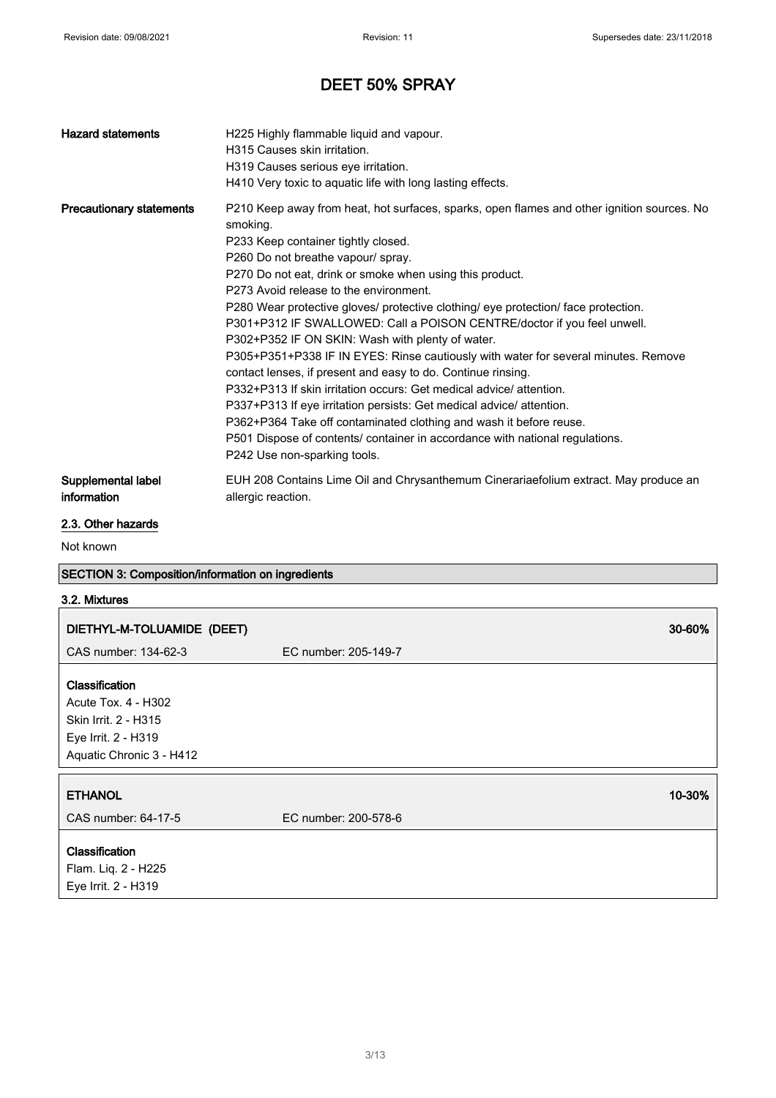| <b>Hazard statements</b>          | H225 Highly flammable liquid and vapour.<br>H315 Causes skin irritation.<br>H319 Causes serious eye irritation.<br>H410 Very toxic to aquatic life with long lasting effects.                                                                                                                                                                                                                                                                                                                                                                                                                                                                                                                                                                                                                                                                                                                                                                                                                           |
|-----------------------------------|---------------------------------------------------------------------------------------------------------------------------------------------------------------------------------------------------------------------------------------------------------------------------------------------------------------------------------------------------------------------------------------------------------------------------------------------------------------------------------------------------------------------------------------------------------------------------------------------------------------------------------------------------------------------------------------------------------------------------------------------------------------------------------------------------------------------------------------------------------------------------------------------------------------------------------------------------------------------------------------------------------|
| <b>Precautionary statements</b>   | P210 Keep away from heat, hot surfaces, sparks, open flames and other ignition sources. No<br>smoking.<br>P233 Keep container tightly closed.<br>P260 Do not breathe vapour/ spray.<br>P270 Do not eat, drink or smoke when using this product.<br>P273 Avoid release to the environment.<br>P280 Wear protective gloves/ protective clothing/ eye protection/ face protection.<br>P301+P312 IF SWALLOWED: Call a POISON CENTRE/doctor if you feel unwell.<br>P302+P352 IF ON SKIN: Wash with plenty of water.<br>P305+P351+P338 IF IN EYES: Rinse cautiously with water for several minutes. Remove<br>contact lenses, if present and easy to do. Continue rinsing.<br>P332+P313 If skin irritation occurs: Get medical advice/attention.<br>P337+P313 If eye irritation persists: Get medical advice/attention.<br>P362+P364 Take off contaminated clothing and wash it before reuse.<br>P501 Dispose of contents/ container in accordance with national regulations.<br>P242 Use non-sparking tools. |
| Supplemental label<br>information | EUH 208 Contains Lime Oil and Chrysanthemum Cinerariaefolium extract. May produce an<br>allergic reaction.                                                                                                                                                                                                                                                                                                                                                                                                                                                                                                                                                                                                                                                                                                                                                                                                                                                                                              |

## 2.3. Other hazards

Not known

# SECTION 3: Composition/information on ingredients

## 3.2. Mixtures

| DIETHYL-M-TOLUAMIDE (DEET)                                                                                              |                      | 30-60% |
|-------------------------------------------------------------------------------------------------------------------------|----------------------|--------|
| CAS number: 134-62-3                                                                                                    | EC number: 205-149-7 |        |
| <b>Classification</b><br>Acute Tox. 4 - H302<br>Skin Irrit. 2 - H315<br>Eye Irrit. 2 - H319<br>Aquatic Chronic 3 - H412 |                      |        |
| <b>ETHANOL</b>                                                                                                          |                      | 10-30% |
| CAS number: 64-17-5                                                                                                     |                      |        |
|                                                                                                                         | EC number: 200-578-6 |        |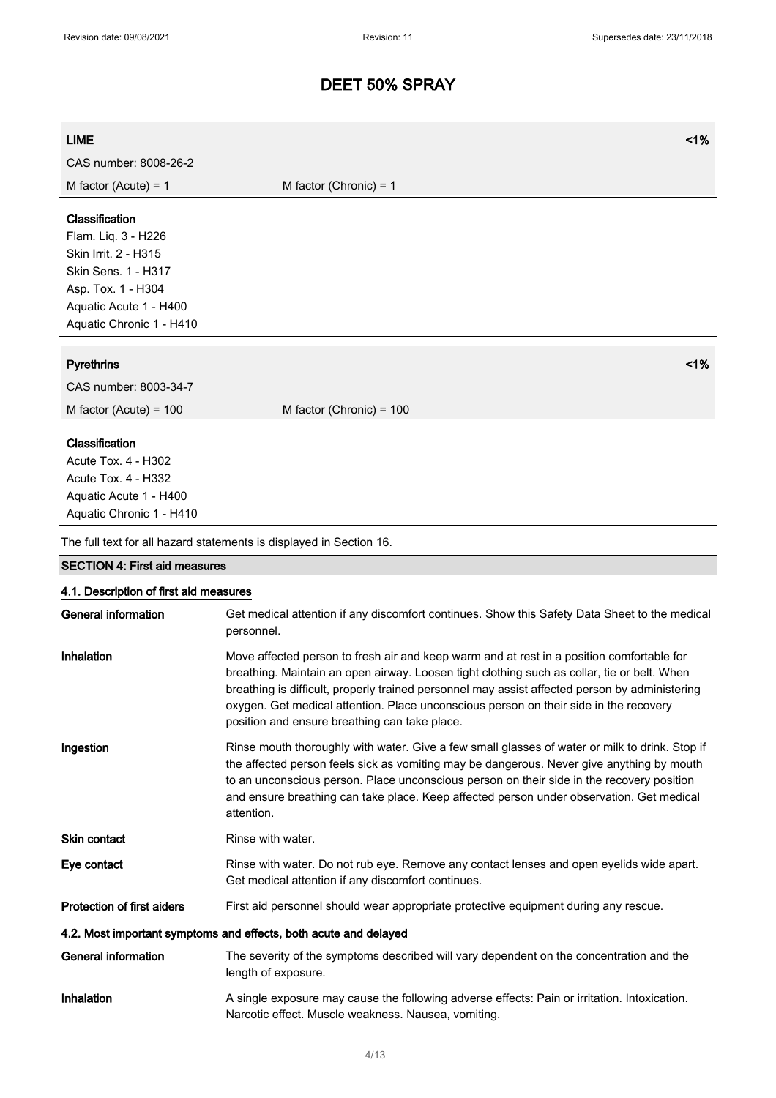| <b>LIME</b>                            | 1%                                                                                                                                                                                                                                                                                                                                                                                  |
|----------------------------------------|-------------------------------------------------------------------------------------------------------------------------------------------------------------------------------------------------------------------------------------------------------------------------------------------------------------------------------------------------------------------------------------|
| CAS number: 8008-26-2                  |                                                                                                                                                                                                                                                                                                                                                                                     |
| M factor (Acute) = $1$                 | M factor (Chronic) = $1$                                                                                                                                                                                                                                                                                                                                                            |
| Classification                         |                                                                                                                                                                                                                                                                                                                                                                                     |
| Flam. Liq. 3 - H226                    |                                                                                                                                                                                                                                                                                                                                                                                     |
| Skin Irrit. 2 - H315                   |                                                                                                                                                                                                                                                                                                                                                                                     |
| Skin Sens. 1 - H317                    |                                                                                                                                                                                                                                                                                                                                                                                     |
| Asp. Tox. 1 - H304                     |                                                                                                                                                                                                                                                                                                                                                                                     |
| Aquatic Acute 1 - H400                 |                                                                                                                                                                                                                                                                                                                                                                                     |
| Aquatic Chronic 1 - H410               |                                                                                                                                                                                                                                                                                                                                                                                     |
| <b>Pyrethrins</b>                      | 1%                                                                                                                                                                                                                                                                                                                                                                                  |
| CAS number: 8003-34-7                  |                                                                                                                                                                                                                                                                                                                                                                                     |
|                                        |                                                                                                                                                                                                                                                                                                                                                                                     |
| M factor (Acute) = 100                 | M factor (Chronic) = 100                                                                                                                                                                                                                                                                                                                                                            |
| Classification                         |                                                                                                                                                                                                                                                                                                                                                                                     |
| Acute Tox. 4 - H302                    |                                                                                                                                                                                                                                                                                                                                                                                     |
| <b>Acute Tox. 4 - H332</b>             |                                                                                                                                                                                                                                                                                                                                                                                     |
| Aquatic Acute 1 - H400                 |                                                                                                                                                                                                                                                                                                                                                                                     |
| Aquatic Chronic 1 - H410               |                                                                                                                                                                                                                                                                                                                                                                                     |
|                                        | The full text for all hazard statements is displayed in Section 16.                                                                                                                                                                                                                                                                                                                 |
| <b>SECTION 4: First aid measures</b>   |                                                                                                                                                                                                                                                                                                                                                                                     |
| 4.1. Description of first aid measures |                                                                                                                                                                                                                                                                                                                                                                                     |
| <b>General information</b>             | Get medical attention if any discomfort continues. Show this Safety Data Sheet to the medical<br>personnel.                                                                                                                                                                                                                                                                         |
| Inhalation                             | Move affected person to fresh air and keep warm and at rest in a position comfortable for<br>breathing. Maintain an open airway. Loosen tight clothing such as collar, tie or belt. When<br>breathing is difficult, properly trained personnel may assist affected person by administering<br>oxygen. Get medical attention. Place unconscious person on their side in the recovery |

Ingestion Rinse mouth thoroughly with water. Give a few small glasses of water or milk to drink. Stop if the affected person feels sick as vomiting may be dangerous. Never give anything by mouth to an unconscious person. Place unconscious person on their side in the recovery position and ensure breathing can take place. Keep affected person under observation. Get medical attention.

position and ensure breathing can take place.

Skin contact Rinse with water.

Eye contact Rinse with water. Do not rub eye. Remove any contact lenses and open eyelids wide apart. Get medical attention if any discomfort continues.

Protection of first aiders First aid personnel should wear appropriate protective equipment during any rescue.

#### 4.2. Most important symptoms and effects, both acute and delayed

General information The severity of the symptoms described will vary dependent on the concentration and the length of exposure. Inhalation A single exposure may cause the following adverse effects: Pain or irritation. Intoxication. Narcotic effect. Muscle weakness. Nausea, vomiting.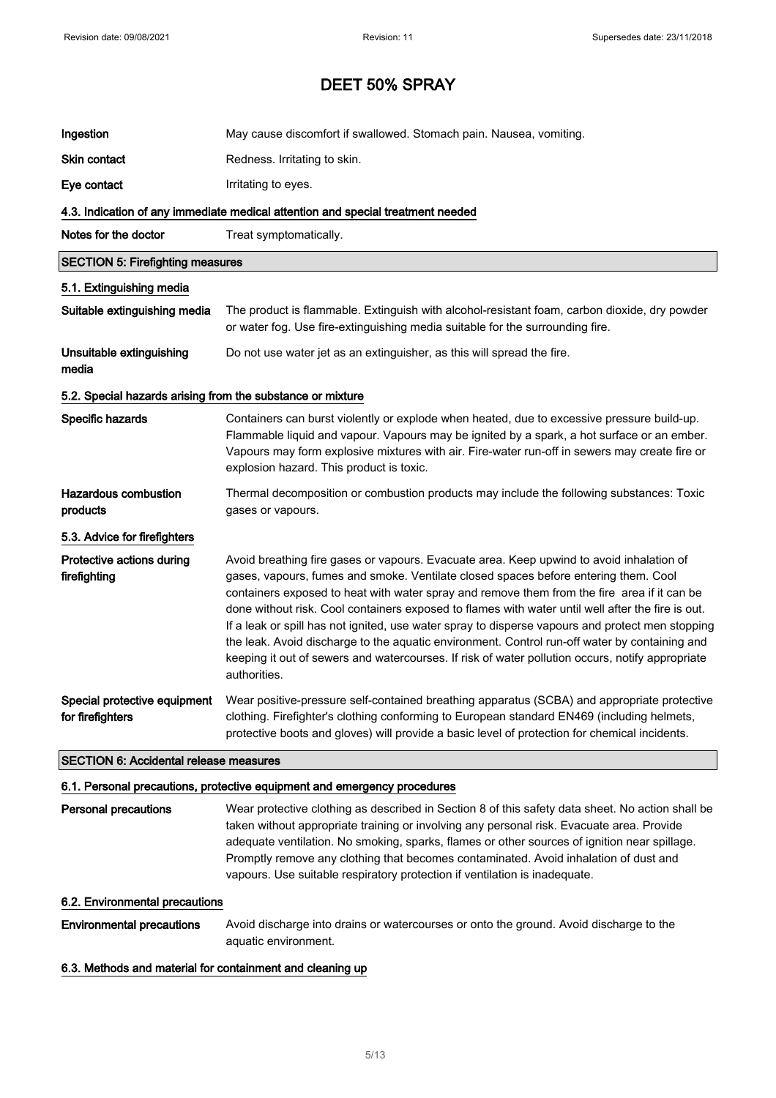| Ingestion                                                  | May cause discomfort if swallowed. Stomach pain. Nausea, vomiting.                                                                                                                                                                                                                                                                                                                                                                                                                                                                                                                                                                                                                                           |
|------------------------------------------------------------|--------------------------------------------------------------------------------------------------------------------------------------------------------------------------------------------------------------------------------------------------------------------------------------------------------------------------------------------------------------------------------------------------------------------------------------------------------------------------------------------------------------------------------------------------------------------------------------------------------------------------------------------------------------------------------------------------------------|
| Skin contact                                               | Redness. Irritating to skin.                                                                                                                                                                                                                                                                                                                                                                                                                                                                                                                                                                                                                                                                                 |
| Eye contact                                                | Irritating to eyes.                                                                                                                                                                                                                                                                                                                                                                                                                                                                                                                                                                                                                                                                                          |
|                                                            | 4.3. Indication of any immediate medical attention and special treatment needed                                                                                                                                                                                                                                                                                                                                                                                                                                                                                                                                                                                                                              |
| Notes for the doctor                                       | Treat symptomatically.                                                                                                                                                                                                                                                                                                                                                                                                                                                                                                                                                                                                                                                                                       |
| <b>SECTION 5: Firefighting measures</b>                    |                                                                                                                                                                                                                                                                                                                                                                                                                                                                                                                                                                                                                                                                                                              |
| 5.1. Extinguishing media                                   |                                                                                                                                                                                                                                                                                                                                                                                                                                                                                                                                                                                                                                                                                                              |
| Suitable extinguishing media                               | The product is flammable. Extinguish with alcohol-resistant foam, carbon dioxide, dry powder<br>or water fog. Use fire-extinguishing media suitable for the surrounding fire.                                                                                                                                                                                                                                                                                                                                                                                                                                                                                                                                |
| Unsuitable extinguishing<br>media                          | Do not use water jet as an extinguisher, as this will spread the fire.                                                                                                                                                                                                                                                                                                                                                                                                                                                                                                                                                                                                                                       |
| 5.2. Special hazards arising from the substance or mixture |                                                                                                                                                                                                                                                                                                                                                                                                                                                                                                                                                                                                                                                                                                              |
| Specific hazards                                           | Containers can burst violently or explode when heated, due to excessive pressure build-up.<br>Flammable liquid and vapour. Vapours may be ignited by a spark, a hot surface or an ember.<br>Vapours may form explosive mixtures with air. Fire-water run-off in sewers may create fire or<br>explosion hazard. This product is toxic.                                                                                                                                                                                                                                                                                                                                                                        |
| <b>Hazardous combustion</b><br>products                    | Thermal decomposition or combustion products may include the following substances: Toxic<br>gases or vapours.                                                                                                                                                                                                                                                                                                                                                                                                                                                                                                                                                                                                |
| 5.3. Advice for firefighters                               |                                                                                                                                                                                                                                                                                                                                                                                                                                                                                                                                                                                                                                                                                                              |
| Protective actions during<br>firefighting                  | Avoid breathing fire gases or vapours. Evacuate area. Keep upwind to avoid inhalation of<br>gases, vapours, fumes and smoke. Ventilate closed spaces before entering them. Cool<br>containers exposed to heat with water spray and remove them from the fire area if it can be<br>done without risk. Cool containers exposed to flames with water until well after the fire is out.<br>If a leak or spill has not ignited, use water spray to disperse vapours and protect men stopping<br>the leak. Avoid discharge to the aquatic environment. Control run-off water by containing and<br>keeping it out of sewers and watercourses. If risk of water pollution occurs, notify appropriate<br>authorities. |
| Special protective equipment<br>for firefighters           | Wear positive-pressure self-contained breathing apparatus (SCBA) and appropriate protective<br>clothing. Firefighter's clothing conforming to European standard EN469 (including helmets,<br>protective boots and gloves) will provide a basic level of protection for chemical incidents.                                                                                                                                                                                                                                                                                                                                                                                                                   |
| <b>SECTION 6: Accidental release measures</b>              |                                                                                                                                                                                                                                                                                                                                                                                                                                                                                                                                                                                                                                                                                                              |
|                                                            | 6.1. Personal precautions, protective equipment and emergency procedures                                                                                                                                                                                                                                                                                                                                                                                                                                                                                                                                                                                                                                     |
| <b>Personal precautions</b>                                | Wear protective clothing as described in Section 8 of this safety data sheet. No action shall be<br>taken without appropriate training or involving any personal risk. Evacuate area. Provide<br>adequate ventilation. No smoking, sparks, flames or other sources of ignition near spillage.<br>Promptly remove any clothing that becomes contaminated. Avoid inhalation of dust and                                                                                                                                                                                                                                                                                                                        |

## 6.2. Environmental precautions

Environmental precautions Avoid discharge into drains or watercourses or onto the ground. Avoid discharge to the aquatic environment.

vapours. Use suitable respiratory protection if ventilation is inadequate.

## 6.3. Methods and material for containment and cleaning up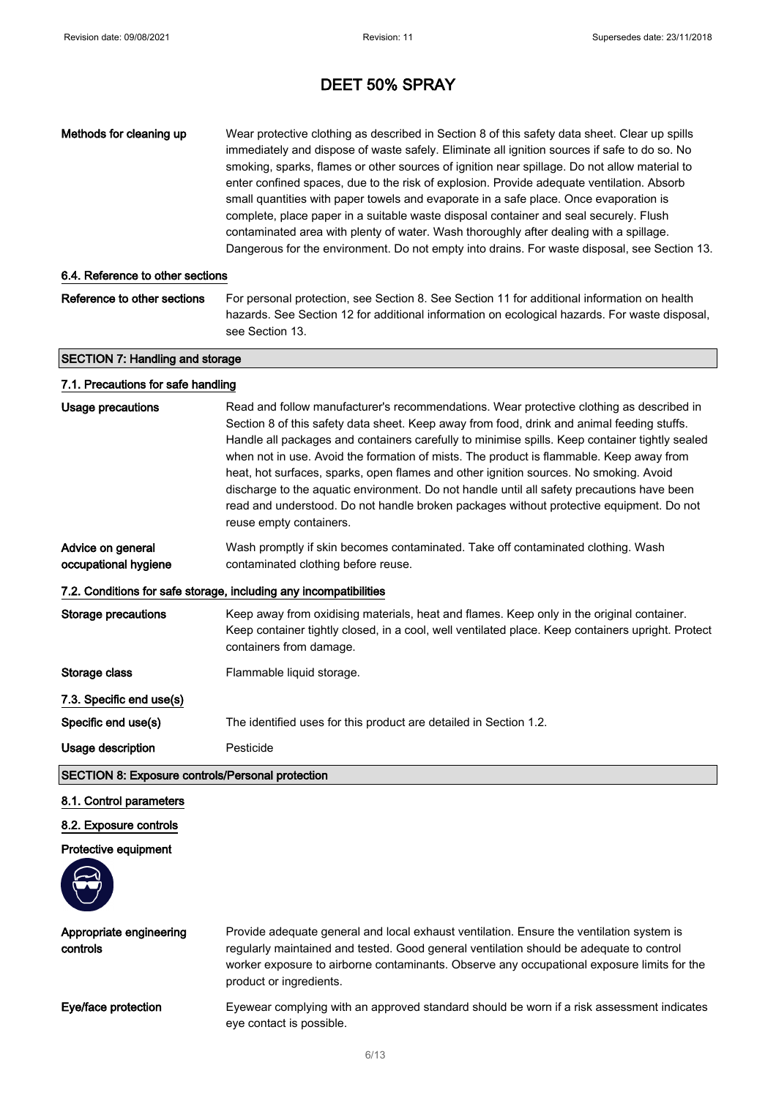| Methods for cleaning up                                                      | Wear protective clothing as described in Section 8 of this safety data sheet. Clear up spills<br>immediately and dispose of waste safely. Eliminate all ignition sources if safe to do so. No<br>smoking, sparks, flames or other sources of ignition near spillage. Do not allow material to<br>enter confined spaces, due to the risk of explosion. Provide adequate ventilation. Absorb<br>small quantities with paper towels and evaporate in a safe place. Once evaporation is<br>complete, place paper in a suitable waste disposal container and seal securely. Flush<br>contaminated area with plenty of water. Wash thoroughly after dealing with a spillage.<br>Dangerous for the environment. Do not empty into drains. For waste disposal, see Section 13. |
|------------------------------------------------------------------------------|------------------------------------------------------------------------------------------------------------------------------------------------------------------------------------------------------------------------------------------------------------------------------------------------------------------------------------------------------------------------------------------------------------------------------------------------------------------------------------------------------------------------------------------------------------------------------------------------------------------------------------------------------------------------------------------------------------------------------------------------------------------------|
| 6.4. Reference to other sections                                             |                                                                                                                                                                                                                                                                                                                                                                                                                                                                                                                                                                                                                                                                                                                                                                        |
| Reference to other sections                                                  | For personal protection, see Section 8. See Section 11 for additional information on health<br>hazards. See Section 12 for additional information on ecological hazards. For waste disposal,<br>see Section 13.                                                                                                                                                                                                                                                                                                                                                                                                                                                                                                                                                        |
| <b>SECTION 7: Handling and storage</b>                                       |                                                                                                                                                                                                                                                                                                                                                                                                                                                                                                                                                                                                                                                                                                                                                                        |
| 7.1. Precautions for safe handling                                           |                                                                                                                                                                                                                                                                                                                                                                                                                                                                                                                                                                                                                                                                                                                                                                        |
| Usage precautions                                                            | Read and follow manufacturer's recommendations. Wear protective clothing as described in<br>Section 8 of this safety data sheet. Keep away from food, drink and animal feeding stuffs.<br>Handle all packages and containers carefully to minimise spills. Keep container tightly sealed<br>when not in use. Avoid the formation of mists. The product is flammable. Keep away from<br>heat, hot surfaces, sparks, open flames and other ignition sources. No smoking. Avoid<br>discharge to the aquatic environment. Do not handle until all safety precautions have been<br>read and understood. Do not handle broken packages without protective equipment. Do not<br>reuse empty containers.                                                                       |
| Advice on general<br>occupational hygiene                                    | Wash promptly if skin becomes contaminated. Take off contaminated clothing. Wash<br>contaminated clothing before reuse.                                                                                                                                                                                                                                                                                                                                                                                                                                                                                                                                                                                                                                                |
|                                                                              | 7.2. Conditions for safe storage, including any incompatibilities                                                                                                                                                                                                                                                                                                                                                                                                                                                                                                                                                                                                                                                                                                      |
| <b>Storage precautions</b>                                                   | Keep away from oxidising materials, heat and flames. Keep only in the original container.<br>Keep container tightly closed, in a cool, well ventilated place. Keep containers upright. Protect<br>containers from damage.                                                                                                                                                                                                                                                                                                                                                                                                                                                                                                                                              |
| Storage class                                                                | Flammable liquid storage.                                                                                                                                                                                                                                                                                                                                                                                                                                                                                                                                                                                                                                                                                                                                              |
| 7.3. Specific end use(s)                                                     |                                                                                                                                                                                                                                                                                                                                                                                                                                                                                                                                                                                                                                                                                                                                                                        |
| Specific end use(s)                                                          | The identified uses for this product are detailed in Section 1.2.                                                                                                                                                                                                                                                                                                                                                                                                                                                                                                                                                                                                                                                                                                      |
| Usage description<br><b>SECTION 8: Exposure controls/Personal protection</b> | Pesticide                                                                                                                                                                                                                                                                                                                                                                                                                                                                                                                                                                                                                                                                                                                                                              |
|                                                                              |                                                                                                                                                                                                                                                                                                                                                                                                                                                                                                                                                                                                                                                                                                                                                                        |

## 8.1. Control parameters

## 8.2. Exposure controls

## Protective equipment



| Appropriate engineering<br>controls | Provide adequate general and local exhaust ventilation. Ensure the ventilation system is<br>regularly maintained and tested. Good general ventilation should be adequate to control<br>worker exposure to airborne contaminants. Observe any occupational exposure limits for the<br>product or ingredients. |
|-------------------------------------|--------------------------------------------------------------------------------------------------------------------------------------------------------------------------------------------------------------------------------------------------------------------------------------------------------------|
| Eye/face protection                 | Eyewear complying with an approved standard should be worn if a risk assessment indicates<br>eye contact is possible.                                                                                                                                                                                        |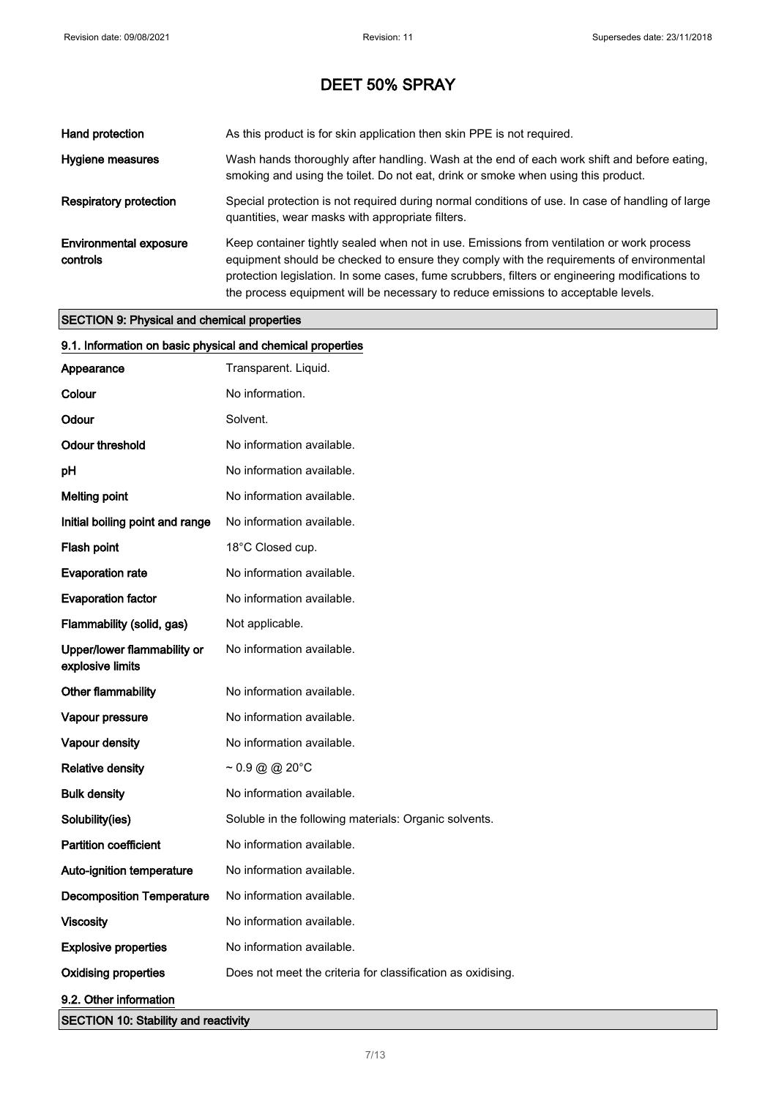| Hand protection                           | As this product is for skin application then skin PPE is not required.                                                                                                                                                                                                                                                                                                       |
|-------------------------------------------|------------------------------------------------------------------------------------------------------------------------------------------------------------------------------------------------------------------------------------------------------------------------------------------------------------------------------------------------------------------------------|
| Hygiene measures                          | Wash hands thoroughly after handling. Wash at the end of each work shift and before eating,<br>smoking and using the toilet. Do not eat, drink or smoke when using this product.                                                                                                                                                                                             |
| <b>Respiratory protection</b>             | Special protection is not required during normal conditions of use. In case of handling of large<br>quantities, wear masks with appropriate filters.                                                                                                                                                                                                                         |
| <b>Environmental exposure</b><br>controls | Keep container tightly sealed when not in use. Emissions from ventilation or work process<br>equipment should be checked to ensure they comply with the requirements of environmental<br>protection legislation. In some cases, fume scrubbers, filters or engineering modifications to<br>the process equipment will be necessary to reduce emissions to acceptable levels. |

## SECTION 9: Physical and chemical properties

| 9.1. Information on basic physical and chemical properties |                                                             |
|------------------------------------------------------------|-------------------------------------------------------------|
| Appearance                                                 | Transparent. Liquid.                                        |
| Colour                                                     | No information.                                             |
| Odour                                                      | Solvent.                                                    |
| <b>Odour threshold</b>                                     | No information available.                                   |
| pH                                                         | No information available.                                   |
| <b>Melting point</b>                                       | No information available.                                   |
| Initial boiling point and range                            | No information available.                                   |
| Flash point                                                | 18°C Closed cup.                                            |
| <b>Evaporation rate</b>                                    | No information available.                                   |
| <b>Evaporation factor</b>                                  | No information available.                                   |
| Flammability (solid, gas)                                  | Not applicable.                                             |
| Upper/lower flammability or<br>explosive limits            | No information available.                                   |
| Other flammability                                         | No information available.                                   |
| Vapour pressure                                            | No information available.                                   |
| Vapour density                                             | No information available.                                   |
| <b>Relative density</b>                                    | $\sim 0.9 \text{ @ } @ 20^{\circ}C$                         |
| <b>Bulk density</b>                                        | No information available.                                   |
| Solubility(ies)                                            | Soluble in the following materials: Organic solvents.       |
| <b>Partition coefficient</b>                               | No information available.                                   |
| Auto-ignition temperature                                  | No information available.                                   |
| <b>Decomposition Temperature</b>                           | No information available.                                   |
| Viscosity                                                  | No information available.                                   |
| <b>Explosive properties</b>                                | No information available.                                   |
| <b>Oxidising properties</b>                                | Does not meet the criteria for classification as oxidising. |
| 9.2. Other information                                     |                                                             |
| <b>SECTION 10: Stability and reactivity</b>                |                                                             |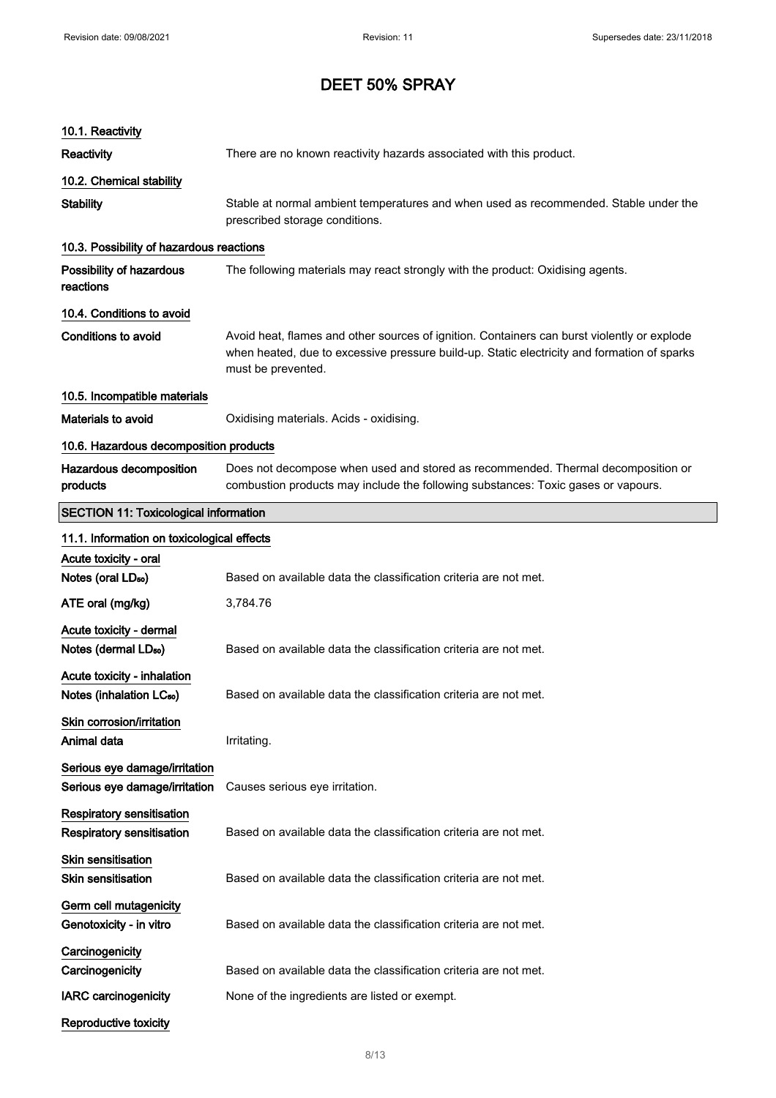| 10.1. Reactivity                                                     |                                                                                                                                                                                                                  |
|----------------------------------------------------------------------|------------------------------------------------------------------------------------------------------------------------------------------------------------------------------------------------------------------|
| <b>Reactivity</b>                                                    | There are no known reactivity hazards associated with this product.                                                                                                                                              |
| 10.2. Chemical stability                                             |                                                                                                                                                                                                                  |
| <b>Stability</b>                                                     | Stable at normal ambient temperatures and when used as recommended. Stable under the<br>prescribed storage conditions.                                                                                           |
| 10.3. Possibility of hazardous reactions                             |                                                                                                                                                                                                                  |
| Possibility of hazardous<br>reactions                                | The following materials may react strongly with the product: Oxidising agents.                                                                                                                                   |
| 10.4. Conditions to avoid                                            |                                                                                                                                                                                                                  |
| <b>Conditions to avoid</b>                                           | Avoid heat, flames and other sources of ignition. Containers can burst violently or explode<br>when heated, due to excessive pressure build-up. Static electricity and formation of sparks<br>must be prevented. |
| 10.5. Incompatible materials                                         |                                                                                                                                                                                                                  |
| <b>Materials to avoid</b>                                            | Oxidising materials. Acids - oxidising.                                                                                                                                                                          |
| 10.6. Hazardous decomposition products                               |                                                                                                                                                                                                                  |
| Hazardous decomposition<br>products                                  | Does not decompose when used and stored as recommended. Thermal decomposition or<br>combustion products may include the following substances: Toxic gases or vapours.                                            |
| <b>SECTION 11: Toxicological information</b>                         |                                                                                                                                                                                                                  |
| 11.1. Information on toxicological effects                           |                                                                                                                                                                                                                  |
| Acute toxicity - oral                                                |                                                                                                                                                                                                                  |
| Notes (oral LD <sub>50</sub> )                                       | Based on available data the classification criteria are not met.                                                                                                                                                 |
| ATE oral (mg/kg)                                                     | 3,784.76                                                                                                                                                                                                         |
| Acute toxicity - dermal<br>Notes (dermal LD <sub>50</sub> )          | Based on available data the classification criteria are not met.                                                                                                                                                 |
| Acute toxicity - inhalation<br>Notes (inhalation LC <sub>50</sub> )  | Based on available data the classification criteria are not met.                                                                                                                                                 |
| Skin corrosion/irritation                                            |                                                                                                                                                                                                                  |
| Animal data                                                          | Irritating.                                                                                                                                                                                                      |
| Serious eye damage/irritation<br>Serious eye damage/irritation       | Causes serious eye irritation.                                                                                                                                                                                   |
| <b>Respiratory sensitisation</b><br><b>Respiratory sensitisation</b> | Based on available data the classification criteria are not met.                                                                                                                                                 |
| <b>Skin sensitisation</b><br><b>Skin sensitisation</b>               | Based on available data the classification criteria are not met.                                                                                                                                                 |
| Germ cell mutagenicity                                               |                                                                                                                                                                                                                  |
| Genotoxicity - in vitro                                              | Based on available data the classification criteria are not met.                                                                                                                                                 |
| Carcinogenicity                                                      |                                                                                                                                                                                                                  |
| Carcinogenicity                                                      | Based on available data the classification criteria are not met.                                                                                                                                                 |
| <b>IARC</b> carcinogenicity                                          | None of the ingredients are listed or exempt.                                                                                                                                                                    |
| <b>Reproductive toxicity</b>                                         |                                                                                                                                                                                                                  |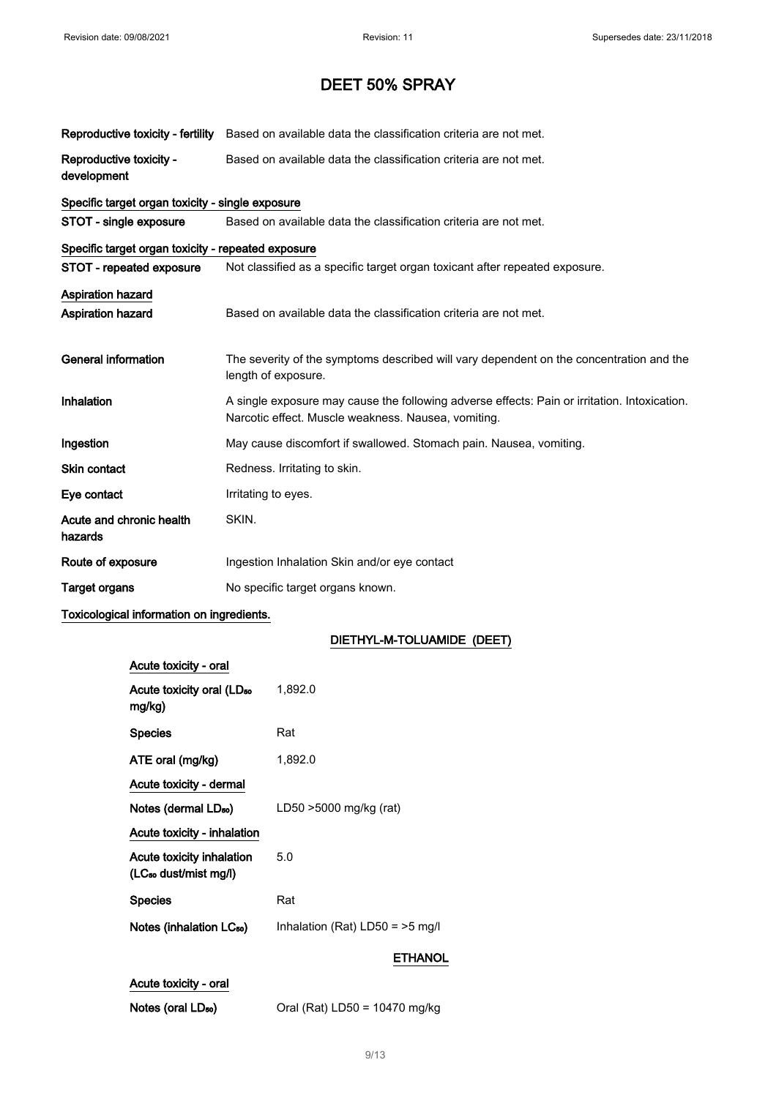| Reproductive toxicity - fertility                  | Based on available data the classification criteria are not met.                                                                                    |  |
|----------------------------------------------------|-----------------------------------------------------------------------------------------------------------------------------------------------------|--|
| Reproductive toxicity -<br>development             | Based on available data the classification criteria are not met.                                                                                    |  |
| Specific target organ toxicity - single exposure   |                                                                                                                                                     |  |
| STOT - single exposure                             | Based on available data the classification criteria are not met.                                                                                    |  |
| Specific target organ toxicity - repeated exposure |                                                                                                                                                     |  |
| STOT - repeated exposure                           | Not classified as a specific target organ toxicant after repeated exposure.                                                                         |  |
| Aspiration hazard                                  |                                                                                                                                                     |  |
| Aspiration hazard                                  | Based on available data the classification criteria are not met.                                                                                    |  |
|                                                    |                                                                                                                                                     |  |
| <b>General information</b>                         | The severity of the symptoms described will vary dependent on the concentration and the<br>length of exposure.                                      |  |
| Inhalation                                         | A single exposure may cause the following adverse effects: Pain or irritation. Intoxication.<br>Narcotic effect. Muscle weakness. Nausea, vomiting. |  |
| Ingestion                                          | May cause discomfort if swallowed. Stomach pain. Nausea, vomiting.                                                                                  |  |
| <b>Skin contact</b>                                | Redness. Irritating to skin.                                                                                                                        |  |
| Eye contact                                        | Irritating to eyes.                                                                                                                                 |  |
| Acute and chronic health<br>hazards                | SKIN.                                                                                                                                               |  |
| Route of exposure                                  | Ingestion Inhalation Skin and/or eye contact                                                                                                        |  |
| <b>Target organs</b>                               | No specific target organs known.                                                                                                                    |  |

## Toxicological information on ingredients.

## DIETHYL-M-TOLUAMIDE (DEET)

| Acute toxicity - oral                                          |                                  |
|----------------------------------------------------------------|----------------------------------|
| Acute toxicity oral (LD <sub>50</sub><br>mg/kg)                | 1,892.0                          |
| <b>Species</b>                                                 | Rat                              |
| ATE oral (mg/kg)                                               | 1,892.0                          |
| Acute toxicity - dermal                                        |                                  |
| Notes (dermal LD <sub>50</sub> )                               | LD50 >5000 mg/kg (rat)           |
| Acute toxicity - inhalation                                    |                                  |
| Acute toxicity inhalation<br>(LC <sub>50</sub> dust/mist mg/l) | 5.0                              |
| <b>Species</b>                                                 | Rat                              |
| Notes (inhalation LC <sub>50</sub> )                           | Inhalation (Rat) $LD50 = 5$ mg/l |
|                                                                | ETHANOL                          |
| Acute toxicity - oral                                          |                                  |

Notes (oral LD<sub>50</sub>) Oral (Rat) LD50 = 10470 mg/kg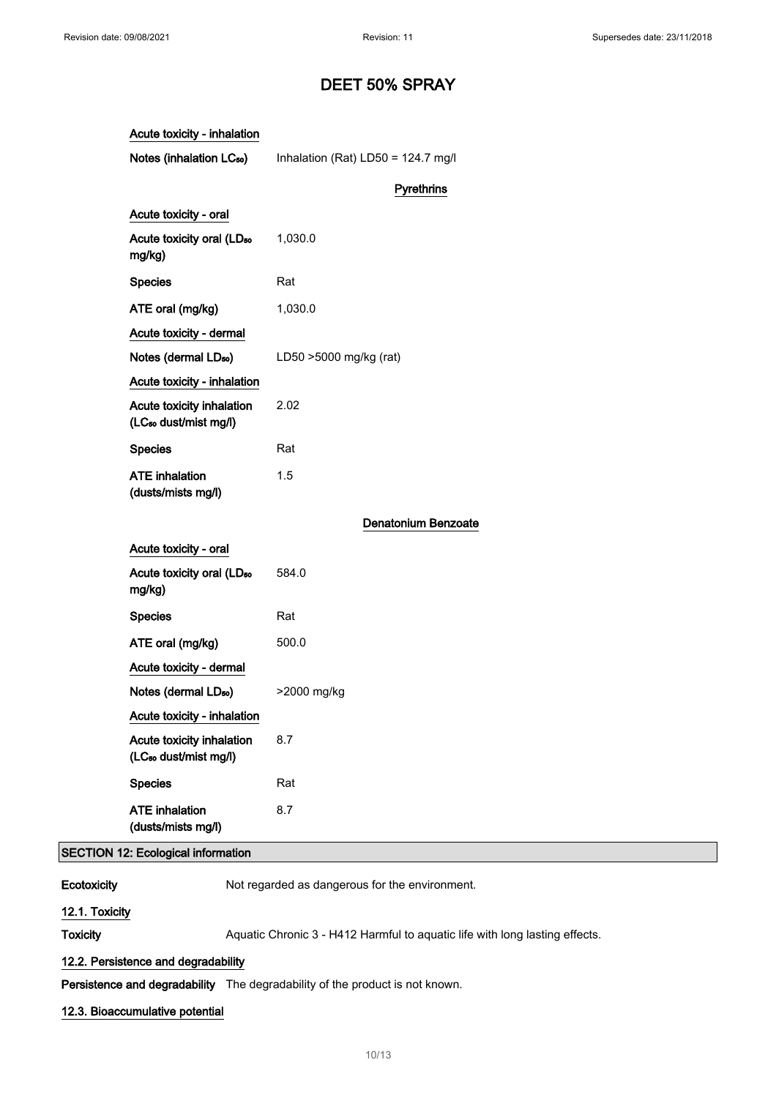| Acute toxicity - inhalation                                    |                                    |
|----------------------------------------------------------------|------------------------------------|
| Notes (inhalation LC <sub>50</sub> )                           | Inhalation (Rat) LD50 = 124.7 mg/l |
|                                                                | <b>Pyrethrins</b>                  |
| Acute toxicity - oral                                          |                                    |
| Acute toxicity oral (LD <sub>50</sub><br>mg/kg)                | 1,030.0                            |
| <b>Species</b>                                                 | Rat                                |
| ATE oral (mg/kg)                                               | 1,030.0                            |
| Acute toxicity - dermal                                        |                                    |
| Notes (dermal LD <sub>50</sub> )                               | LD50 >5000 mg/kg (rat)             |
| Acute toxicity - inhalation                                    |                                    |
| Acute toxicity inhalation<br>(LC <sub>50</sub> dust/mist mg/l) | 2.02                               |
| <b>Species</b>                                                 | Rat                                |
| <b>ATE</b> inhalation<br>(dusts/mists mg/l)                    | 1.5                                |
|                                                                | <b>Denatonium Benzoate</b>         |
| Acute toxicity - oral                                          |                                    |
| Acute toxicity oral (LD <sub>50</sub><br>mg/kg)                | 584.0                              |
| <b>Species</b>                                                 | Rat                                |
| ATE oral (mg/kg)                                               | 500.0                              |
| Acute toxicity - dermal                                        |                                    |
| Notes (dermal LD <sub>50</sub> )                               | >2000 mg/kg                        |
| Acute toxicity - inhalation                                    |                                    |
| Acute toxicity inhalation<br>(LC <sub>50</sub> dust/mist mg/l) | 8.7                                |
| <b>Species</b>                                                 | Rat                                |
| <b>ATE</b> inhalation<br>(dusts/mists mg/l)                    | 8.7                                |

## SECTION 12: Ecological information

Ecotoxicity Not regarded as dangerous for the environment.

## 12.1. Toxicity

Toxicity Maguatic Chronic 3 - H412 Harmful to aquatic life with long lasting effects.

## 12.2. Persistence and degradability

Persistence and degradability The degradability of the product is not known.

## 12.3. Bioaccumulative potential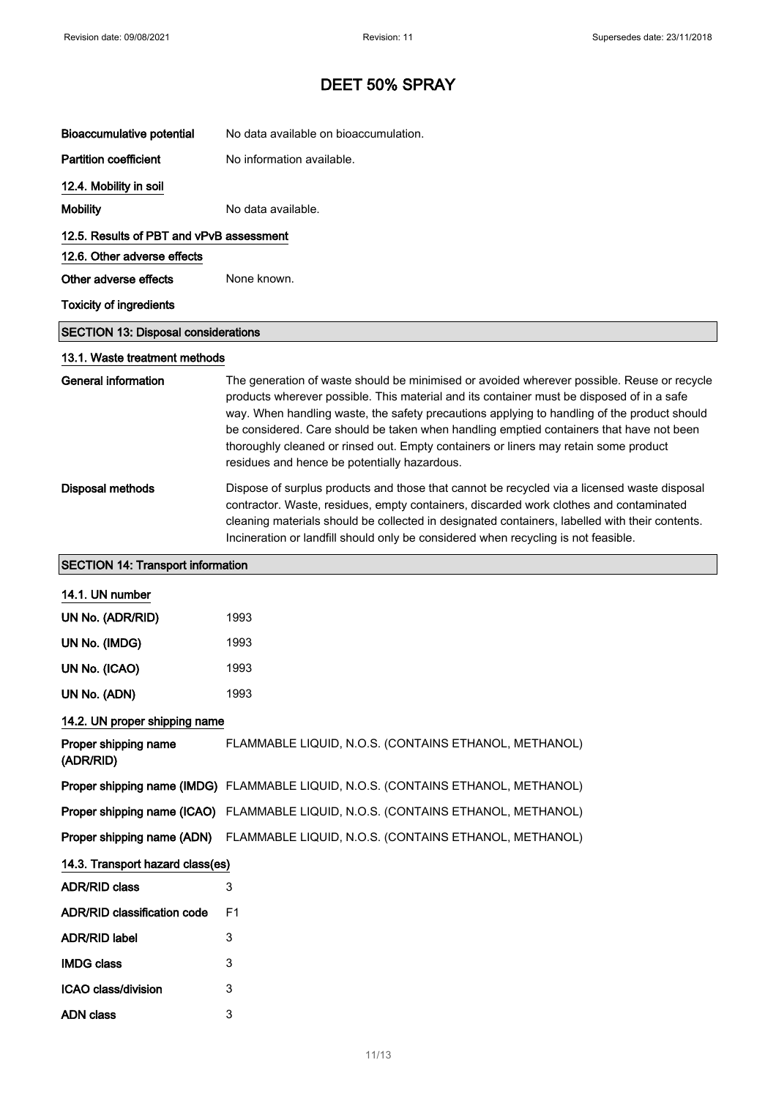| <b>Bioaccumulative potential</b>           | No data available on bioaccumulation.                                                                                                                                                                                                                                                                                                                                                                                                                                                                                     |
|--------------------------------------------|---------------------------------------------------------------------------------------------------------------------------------------------------------------------------------------------------------------------------------------------------------------------------------------------------------------------------------------------------------------------------------------------------------------------------------------------------------------------------------------------------------------------------|
| <b>Partition coefficient</b>               | No information available.                                                                                                                                                                                                                                                                                                                                                                                                                                                                                                 |
| 12.4. Mobility in soil                     |                                                                                                                                                                                                                                                                                                                                                                                                                                                                                                                           |
| <b>Mobility</b>                            | No data available.                                                                                                                                                                                                                                                                                                                                                                                                                                                                                                        |
| 12.5. Results of PBT and vPvB assessment   |                                                                                                                                                                                                                                                                                                                                                                                                                                                                                                                           |
| 12.6. Other adverse effects                |                                                                                                                                                                                                                                                                                                                                                                                                                                                                                                                           |
| Other adverse effects                      | None known.                                                                                                                                                                                                                                                                                                                                                                                                                                                                                                               |
| <b>Toxicity of ingredients</b>             |                                                                                                                                                                                                                                                                                                                                                                                                                                                                                                                           |
| <b>SECTION 13: Disposal considerations</b> |                                                                                                                                                                                                                                                                                                                                                                                                                                                                                                                           |
| 13.1. Waste treatment methods              |                                                                                                                                                                                                                                                                                                                                                                                                                                                                                                                           |
| <b>General information</b>                 | The generation of waste should be minimised or avoided wherever possible. Reuse or recycle<br>products wherever possible. This material and its container must be disposed of in a safe<br>way. When handling waste, the safety precautions applying to handling of the product should<br>be considered. Care should be taken when handling emptied containers that have not been<br>thoroughly cleaned or rinsed out. Empty containers or liners may retain some product<br>residues and hence be potentially hazardous. |
| <b>Disposal methods</b>                    | Dispose of surplus products and those that cannot be recycled via a licensed waste disposal<br>contractor. Waste, residues, empty containers, discarded work clothes and contaminated<br>cleaning materials should be collected in designated containers, labelled with their contents.<br>Incineration or landfill should only be considered when recycling is not feasible.                                                                                                                                             |
| <b>SECTION 14: Transport information</b>   |                                                                                                                                                                                                                                                                                                                                                                                                                                                                                                                           |
| 14.1. UN number                            |                                                                                                                                                                                                                                                                                                                                                                                                                                                                                                                           |
| UN No. (ADR/RID)                           | 1993                                                                                                                                                                                                                                                                                                                                                                                                                                                                                                                      |
| UN No. (IMDG)                              | 1993                                                                                                                                                                                                                                                                                                                                                                                                                                                                                                                      |
| UN No. (ICAO)                              | 1993                                                                                                                                                                                                                                                                                                                                                                                                                                                                                                                      |
| UN No. (ADN)                               | 1993                                                                                                                                                                                                                                                                                                                                                                                                                                                                                                                      |
| 14.2. UN proper shipping name              |                                                                                                                                                                                                                                                                                                                                                                                                                                                                                                                           |
| Proper shipping name<br>(ADR/RID)          | FLAMMABLE LIQUID, N.O.S. (CONTAINS ETHANOL, METHANOL)                                                                                                                                                                                                                                                                                                                                                                                                                                                                     |
|                                            | Proper shipping name (IMDG) FLAMMABLE LIQUID, N.O.S. (CONTAINS ETHANOL, METHANOL)                                                                                                                                                                                                                                                                                                                                                                                                                                         |
|                                            | Proper shipping name (ICAO) FLAMMABLE LIQUID, N.O.S. (CONTAINS ETHANOL, METHANOL)                                                                                                                                                                                                                                                                                                                                                                                                                                         |
| Proper shipping name (ADN)                 | FLAMMABLE LIQUID, N.O.S. (CONTAINS ETHANOL, METHANOL)                                                                                                                                                                                                                                                                                                                                                                                                                                                                     |
| 14.3. Transport hazard class(es)           |                                                                                                                                                                                                                                                                                                                                                                                                                                                                                                                           |
| <b>ADR/RID class</b>                       | 3                                                                                                                                                                                                                                                                                                                                                                                                                                                                                                                         |
| <b>ADR/RID classification code</b>         | F <sub>1</sub>                                                                                                                                                                                                                                                                                                                                                                                                                                                                                                            |
| <b>ADR/RID label</b>                       | 3                                                                                                                                                                                                                                                                                                                                                                                                                                                                                                                         |
| <b>IMDG class</b>                          | 3                                                                                                                                                                                                                                                                                                                                                                                                                                                                                                                         |
| ICAO class/division                        | 3                                                                                                                                                                                                                                                                                                                                                                                                                                                                                                                         |
| <b>ADN</b> class                           | 3                                                                                                                                                                                                                                                                                                                                                                                                                                                                                                                         |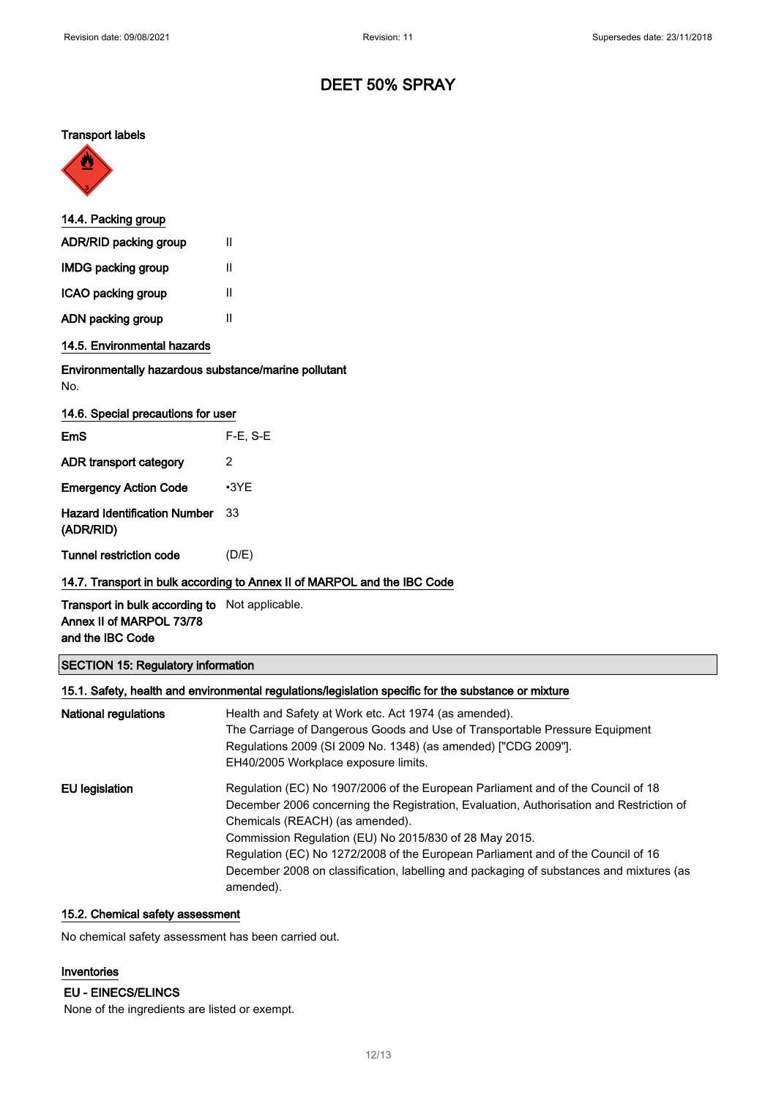#### Transport labels



| 14.4. Packing group          |   |
|------------------------------|---|
| <b>ADR/RID packing group</b> | Ш |
| <b>IMDG packing group</b>    | Ш |
| ICAO packing group           | Ш |
| ADN packing group            | н |
| 14.5. Environmental hazards  |   |

## Environmentally hazardous substance/marine pollutant No.

| 14.6. Special precautions for user               |             |
|--------------------------------------------------|-------------|
| EmS                                              | $F-E. S-E$  |
| ADR transport category                           | 2           |
| <b>Emergency Action Code</b>                     | $\cdot$ 3YE |
| <b>Hazard Identification Number</b><br>(ADR/RID) | 33          |
| Tunnel restriction code                          | (D/E)       |

## 14.7. Transport in bulk according to Annex II of MARPOL and the IBC Code

Transport in bulk according to Not applicable. Annex II of MARPOL 73/78 and the IBC Code

## SECTION 15: Regulatory information

## 15.1. Safety, health and environmental regulations/legislation specific for the substance or mixture

| National regulations | Health and Safety at Work etc. Act 1974 (as amended).<br>The Carriage of Dangerous Goods and Use of Transportable Pressure Equipment<br>Regulations 2009 (SI 2009 No. 1348) (as amended) ["CDG 2009"].<br>EH40/2005 Workplace exposure limits.                                                                                                                                                                                                                       |
|----------------------|----------------------------------------------------------------------------------------------------------------------------------------------------------------------------------------------------------------------------------------------------------------------------------------------------------------------------------------------------------------------------------------------------------------------------------------------------------------------|
| EU legislation       | Regulation (EC) No 1907/2006 of the European Parliament and of the Council of 18<br>December 2006 concerning the Registration, Evaluation, Authorisation and Restriction of<br>Chemicals (REACH) (as amended).<br>Commission Regulation (EU) No 2015/830 of 28 May 2015.<br>Regulation (EC) No 1272/2008 of the European Parliament and of the Council of 16<br>December 2008 on classification, labelling and packaging of substances and mixtures (as<br>amended). |

## 15.2. Chemical safety assessment

No chemical safety assessment has been carried out.

#### Inventories

#### EU - EINECS/ELINCS

None of the ingredients are listed or exempt.